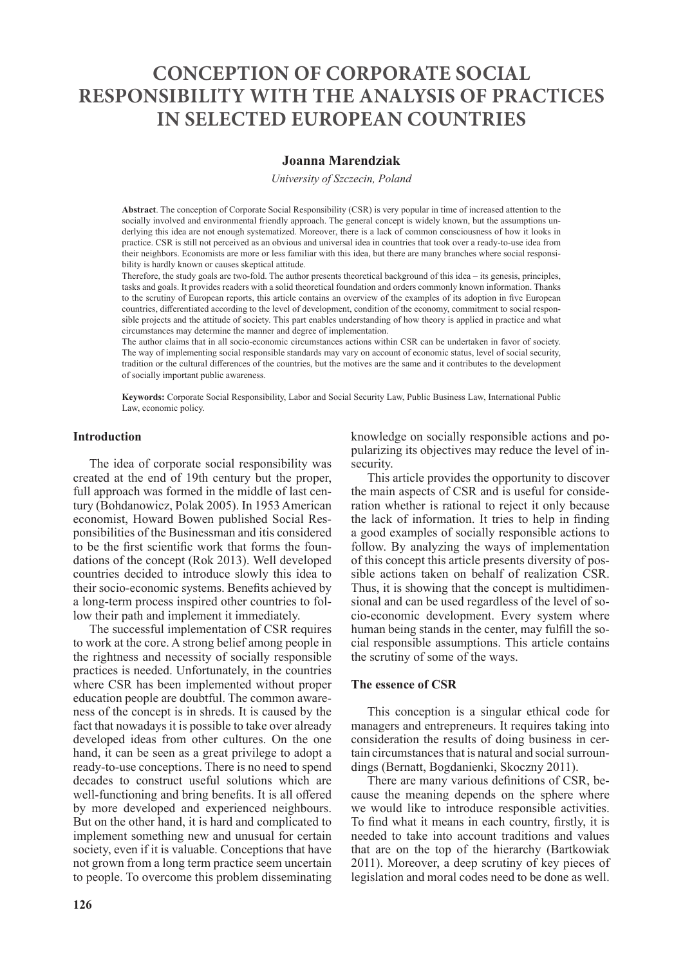# **CONCEPTION OF CORPORATE SOCIAL RESPONSIBILITY WITH THE ANALYSIS OF PRACTICES IN SELECTED EUROPEAN COUNTRIES**

## **Joanna Marendziak**

*University of Szczecin, Poland*

**Abstract**. The conception of Corporate Social Responsibility (CSR) is very popular in time of increased attention to the socially involved and environmental friendly approach. The general concept is widely known, but the assumptions underlying this idea are not enough systematized. Moreover, there is a lack of common consciousness of how it looks in practice. CSR is still not perceived as an obvious and universal idea in countries that took over a ready-to-use idea from their neighbors. Economists are more or less familiar with this idea, but there are many branches where social responsibility is hardly known or causes skeptical attitude.

Therefore, the study goals are two-fold. The author presents theoretical background of this idea – its genesis, principles, tasks and goals. It provides readers with a solid theoretical foundation and orders commonly known information. Thanks to the scrutiny of European reports, this article contains an overview of the examples of its adoption in five European countries, differentiated according to the level of development, condition of the economy, commitment to social responsible projects and the attitude of society. This part enables understanding of how theory is applied in practice and what circumstances may determine the manner and degree of implementation.

The author claims that in all socio-economic circumstances actions within CSR can be undertaken in favor of society. The way of implementing social responsible standards may vary on account of economic status, level of social security, tradition or the cultural differences of the countries, but the motives are the same and it contributes to the development of socially important public awareness.

**Keywords:** Corporate Social Responsibility, Labor and Social Security Law, Public Business Law, International Public Law, economic policy.

#### **Introduction**

The idea of corporate social responsibility was created at the end of 19th century but the proper, full approach was formed in the middle of last century (Bohdanowicz, Polak 2005). In 1953 American economist, Howard Bowen published Social Responsibilities of the Businessman and itis considered to be the first scientific work that forms the foundations of the concept (Rok 2013). Well developed countries decided to introduce slowly this idea to their socio-economic systems. Benefits achieved by a long-term process inspired other countries to follow their path and implement it immediately.

The successful implementation of CSR requires to work at the core. A strong belief among people in the rightness and necessity of socially responsible practices is needed. Unfortunately, in the countries where CSR has been implemented without proper education people are doubtful. The common awareness of the concept is in shreds. It is caused by the fact that nowadays it is possible to take over already developed ideas from other cultures. On the one hand, it can be seen as a great privilege to adopt a ready-to-use conceptions. There is no need to spend decades to construct useful solutions which are well-functioning and bring benefits. It is all offered by more developed and experienced neighbours. But on the other hand, it is hard and complicated to implement something new and unusual for certain society, even if it is valuable. Conceptions that have not grown from a long term practice seem uncertain to people. To overcome this problem disseminating

knowledge on socially responsible actions and popularizing its objectives may reduce the level of insecurity.

This article provides the opportunity to discover the main aspects of CSR and is useful for consideration whether is rational to reject it only because the lack of information. It tries to help in finding a good examples of socially responsible actions to follow. By analyzing the ways of implementation of this concept this article presents diversity of possible actions taken on behalf of realization CSR. Thus, it is showing that the concept is multidimensional and can be used regardless of the level of socio-economic development. Every system where human being stands in the center, may fulfill the social responsible assumptions. This article contains the scrutiny of some of the ways.

#### **The essence of CSR**

This conception is a singular ethical code for managers and entrepreneurs. It requires taking into consideration the results of doing business in certain circumstances that is natural and social surroundings (Bernatt, Bogdanienki, Skoczny 2011).

There are many various definitions of CSR, because the meaning depends on the sphere where we would like to introduce responsible activities. To find what it means in each country, firstly, it is needed to take into account traditions and values that are on the top of the hierarchy (Bartkowiak 2011). Moreover, a deep scrutiny of key pieces of legislation and moral codes need to be done as well.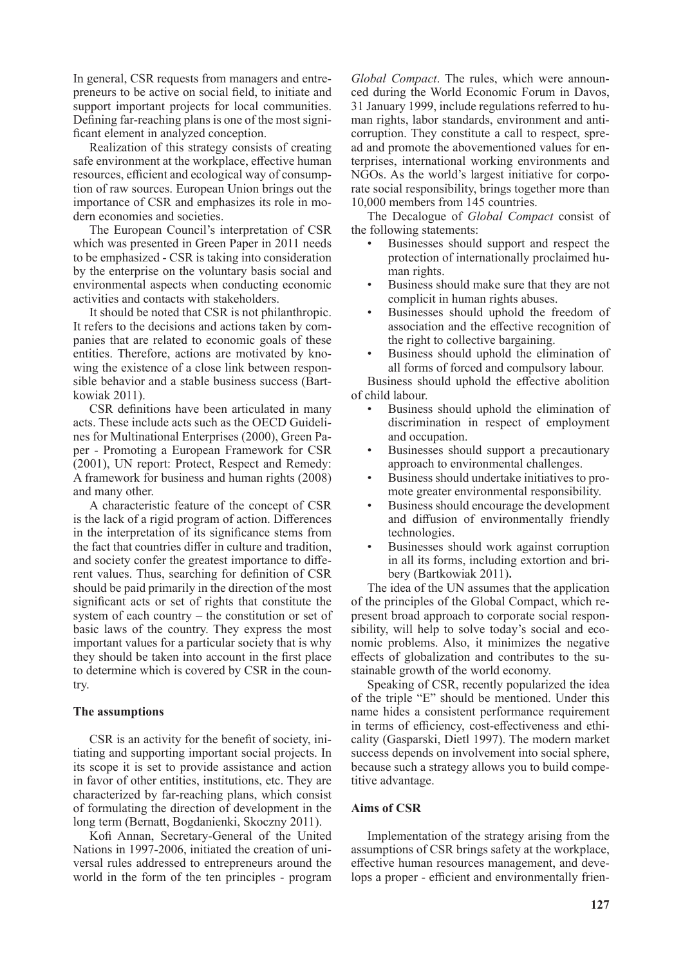In general, CSR requests from managers and entrepreneurs to be active on social field, to initiate and support important projects for local communities. Defining far-reaching plans is one of the most significant element in analyzed conception.

Realization of this strategy consists of creating safe environment at the workplace, effective human resources, efficient and ecological way of consumption of raw sources. European Union brings out the importance of CSR and emphasizes its role in modern economies and societies.

The European Council's interpretation of CSR which was presented in Green Paper in 2011 needs to be emphasized - CSR is taking into consideration by the enterprise on the voluntary basis social and environmental aspects when conducting economic activities and contacts with stakeholders.

It should be noted that CSR is not philanthropic. It refers to the decisions and actions taken by companies that are related to economic goals of these entities. Therefore, actions are motivated by knowing the existence of a close link between responsible behavior and a stable business success (Bartkowiak 2011).

CSR definitions have been articulated in many acts. These include acts such as the OECD Guidelines for Multinational Enterprises (2000), Green Paper - Promoting a European Framework for CSR (2001), UN report: Protect, Respect and Remedy: A framework for business and human rights (2008) and many other.

A characteristic feature of the concept of CSR is the lack of a rigid program of action. Differences in the interpretation of its significance stems from the fact that countries differ in culture and tradition, and society confer the greatest importance to different values. Thus, searching for definition of CSR should be paid primarily in the direction of the most significant acts or set of rights that constitute the system of each country – the constitution or set of basic laws of the country. They express the most important values for a particular society that is why they should be taken into account in the first place to determine which is covered by CSR in the country.

### **The assumptions**

CSR is an activity for the benefit of society, initiating and supporting important social projects. In its scope it is set to provide assistance and action in favor of other entities, institutions, etc. They are characterized by far-reaching plans, which consist of formulating the direction of development in the long term (Bernatt, Bogdanienki, Skoczny 2011).

Kofi Annan, Secretary-General of the United Nations in 1997-2006, initiated the creation of universal rules addressed to entrepreneurs around the world in the form of the ten principles - program *Global Compact*. The rules, which were announced during the World Economic Forum in Davos, 31 January 1999, include regulations referred to human rights, labor standards, environment and anticorruption. They constitute a call to respect, spread and promote the abovementioned values for enterprises, international working environments and NGOs. As the world's largest initiative for corporate social responsibility, brings together more than 10,000 members from 145 countries.

The Decalogue of *Global Compact* consist of the following statements:

- Businesses should support and respect the protection of internationally proclaimed human rights.
- Business should make sure that they are not complicit in human rights abuses.
- Businesses should uphold the freedom of association and the effective recognition of the right to collective bargaining.
- Business should uphold the elimination of all forms of forced and compulsory labour.

Business should uphold the effective abolition of child labour.

- Business should uphold the elimination of discrimination in respect of employment and occupation.
- Businesses should support a precautionary approach to environmental challenges.
- Business should undertake initiatives to promote greater environmental responsibility.
- Business should encourage the development and diffusion of environmentally friendly technologies.
- Businesses should work against corruption in all its forms, including extortion and bribery (Bartkowiak 2011)**.**

The idea of the UN assumes that the application of the principles of the Global Compact, which represent broad approach to corporate social responsibility, will help to solve today's social and economic problems. Also, it minimizes the negative effects of globalization and contributes to the sustainable growth of the world economy.

Speaking of CSR, recently popularized the idea of the triple "E" should be mentioned. Under this name hides a consistent performance requirement in terms of efficiency, cost-effectiveness and ethicality (Gasparski, Dietl 1997). The modern market success depends on involvement into social sphere, because such a strategy allows you to build competitive advantage.

#### **Aims of CSR**

Implementation of the strategy arising from the assumptions of CSR brings safety at the workplace, effective human resources management, and develops a proper - efficient and environmentally frien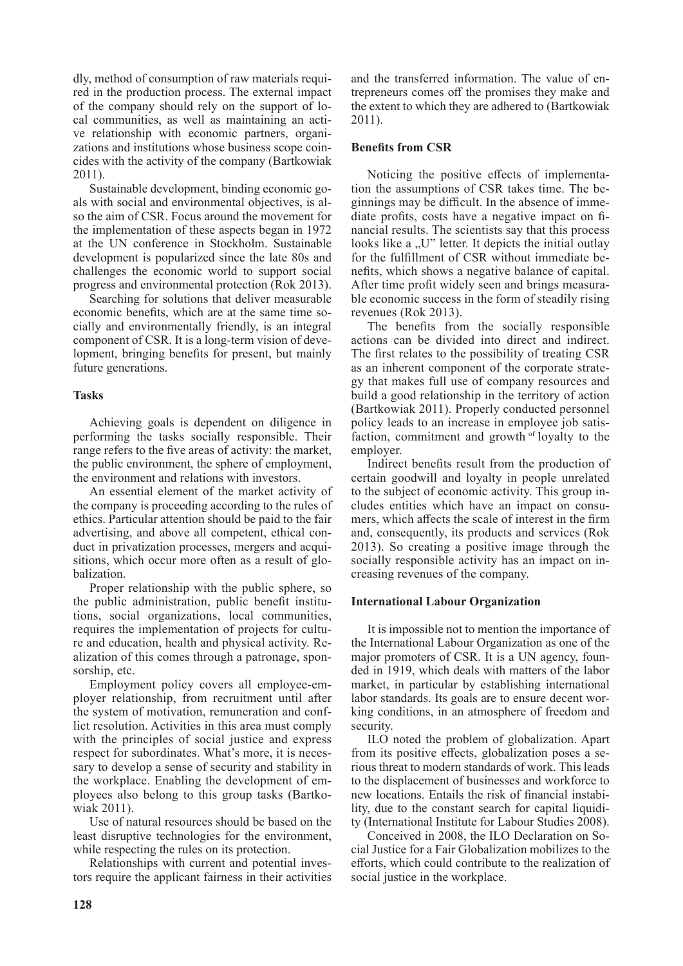dly, method of consumption of raw materials required in the production process. The external impact of the company should rely on the support of local communities, as well as maintaining an active relationship with economic partners, organizations and institutions whose business scope coincides with the activity of the company (Bartkowiak 2011).

Sustainable development, binding economic goals with social and environmental objectives, is also the aim of CSR. Focus around the movement for the implementation of these aspects began in 1972 at the UN conference in Stockholm. Sustainable development is popularized since the late 80s and challenges the economic world to support social progress and environmental protection (Rok 2013).

Searching for solutions that deliver measurable economic benefits, which are at the same time socially and environmentally friendly, is an integral component of CSR. It is a long-term vision of development, bringing benefits for present, but mainly future generations.

## **Tasks**

Achieving goals is dependent on diligence in performing the tasks socially responsible. Their range refers to the five areas of activity: the market, the public environment, the sphere of employment, the environment and relations with investors.

An essential element of the market activity of the company is proceeding according to the rules of ethics. Particular attention should be paid to the fair advertising, and above all competent, ethical conduct in privatization processes, mergers and acquisitions, which occur more often as a result of globalization.

Proper relationship with the public sphere, so the public administration, public benefit institutions, social organizations, local communities, requires the implementation of projects for culture and education, health and physical activity. Realization of this comes through a patronage, sponsorship, etc.

Employment policy covers all employee-employer relationship, from recruitment until after the system of motivation, remuneration and conflict resolution. Activities in this area must comply with the principles of social justice and express respect for subordinates. What's more, it is necessary to develop a sense of security and stability in the workplace. Enabling the development of employees also belong to this group tasks (Bartkowiak 2011).

Use of natural resources should be based on the least disruptive technologies for the environment, while respecting the rules on its protection.

Relationships with current and potential investors require the applicant fairness in their activities and the transferred information. The value of entrepreneurs comes off the promises they make and the extent to which they are adhered to (Bartkowiak 2011).

## **Benefits from CSR**

Noticing the positive effects of implementation the assumptions of CSR takes time. The beginnings may be difficult. In the absence of immediate profits, costs have a negative impact on financial results. The scientists say that this process looks like a "U" letter. It depicts the initial outlay for the fulfillment of CSR without immediate benefits, which shows a negative balance of capital. After time profit widely seen and brings measurable economic success in the form of steadily rising revenues (Rok 2013).

The benefits from the socially responsible actions can be divided into direct and indirect. The first relates to the possibility of treating CSR as an inherent component of the corporate strategy that makes full use of company resources and build a good relationship in the territory of action (Bartkowiak 2011). Properly conducted personnel policy leads to an increase in employee job satisfaction, commitment and growth of loyalty to the employer.

Indirect benefits result from the production of certain goodwill and loyalty in people unrelated to the subject of economic activity. This group includes entities which have an impact on consumers, which affects the scale of interest in the firm and, consequently, its products and services (Rok 2013). So creating a positive image through the socially responsible activity has an impact on increasing revenues of the company.

## **International Labour Organization**

It is impossible not to mention the importance of the International Labour Organization as one of the major promoters of CSR. It is a UN agency, founded in 1919, which deals with matters of the labor market, in particular by establishing international labor standards. Its goals are to ensure decent working conditions, in an atmosphere of freedom and security.

ILO noted the problem of globalization. Apart from its positive effects, globalization poses a serious threat to modern standards of work. This leads to the displacement of businesses and workforce to new locations. Entails the risk of financial instability, due to the constant search for capital liquidity (International Institute for Labour Studies 2008).

Conceived in 2008, the ILO Declaration on Social Justice for a Fair Globalization mobilizes to the efforts, which could contribute to the realization of social justice in the workplace.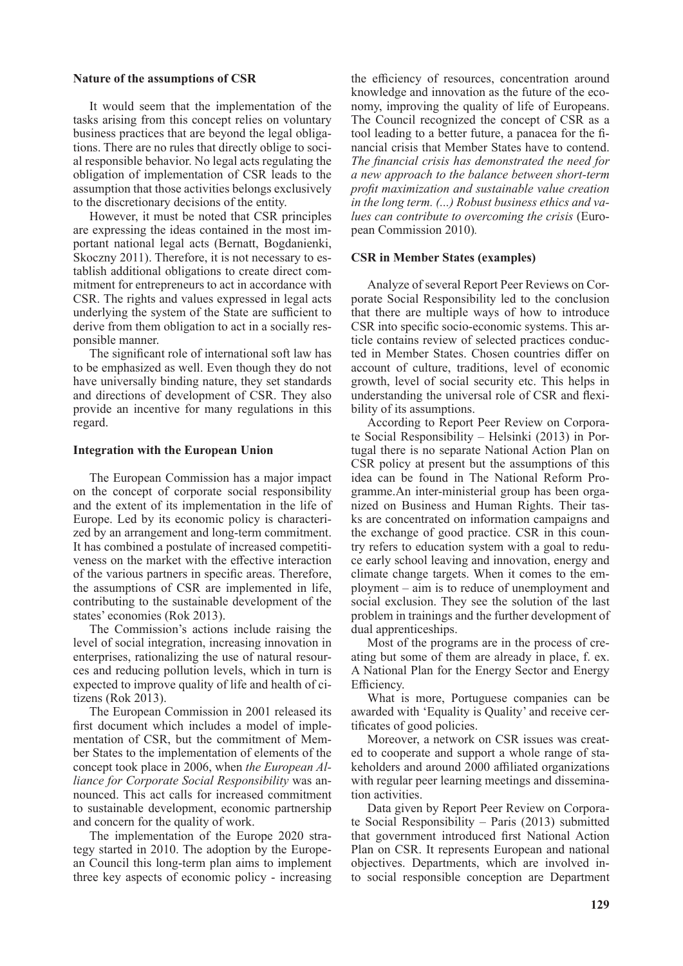#### **Nature of the assumptions of CSR**

It would seem that the implementation of the tasks arising from this concept relies on voluntary business practices that are beyond the legal obligations. There are no rules that directly oblige to social responsible behavior. No legal acts regulating the obligation of implementation of CSR leads to the assumption that those activities belongs exclusively to the discretionary decisions of the entity.

However, it must be noted that CSR principles are expressing the ideas contained in the most important national legal acts (Bernatt, Bogdanienki, Skoczny 2011). Therefore, it is not necessary to establish additional obligations to create direct commitment for entrepreneurs to act in accordance with CSR. The rights and values expressed in legal acts underlying the system of the State are sufficient to derive from them obligation to act in a socially responsible manner.

The significant role of international soft law has to be emphasized as well. Even though they do not have universally binding nature, they set standards and directions of development of CSR. They also provide an incentive for many regulations in this regard.

#### **Integration with the European Union**

The European Commission has a major impact on the concept of corporate social responsibility and the extent of its implementation in the life of Europe. Led by its economic policy is characterized by an arrangement and long-term commitment. It has combined a postulate of increased competitiveness on the market with the effective interaction of the various partners in specific areas. Therefore, the assumptions of CSR are implemented in life, contributing to the sustainable development of the states' economies (Rok 2013).

The Commission's actions include raising the level of social integration, increasing innovation in enterprises, rationalizing the use of natural resources and reducing pollution levels, which in turn is expected to improve quality of life and health of citizens (Rok 2013).

The European Commission in 2001 released its first document which includes a model of implementation of CSR, but the commitment of Member States to the implementation of elements of the concept took place in 2006, when *the European Alliance for Corporate Social Responsibility* was announced. This act calls for increased commitment to sustainable development, economic partnership and concern for the quality of work.

The implementation of the Europe 2020 strategy started in 2010. The adoption by the European Council this long-term plan aims to implement three key aspects of economic policy - increasing the efficiency of resources, concentration around knowledge and innovation as the future of the economy, improving the quality of life of Europeans. The Council recognized the concept of CSR as a tool leading to a better future, a panacea for the financial crisis that Member States have to contend. *The financial crisis has demonstrated the need for a new approach to the balance between short-term profit maximization and sustainable value creation in the long term. (...) Robust business ethics and values can contribute to overcoming the crisis* (European Commission 2010)*.*

### **CSR in Member States (examples)**

Analyze of several Report Peer Reviews on Corporate Social Responsibility led to the conclusion that there are multiple ways of how to introduce CSR into specific socio-economic systems. This article contains review of selected practices conducted in Member States. Chosen countries differ on account of culture, traditions, level of economic growth, level of social security etc. This helps in understanding the universal role of CSR and flexibility of its assumptions.

According to Report Peer Review on Corporate Social Responsibility – Helsinki (2013) in Portugal there is no separate National Action Plan on CSR policy at present but the assumptions of this idea can be found in The National Reform Programme.An inter-ministerial group has been organized on Business and Human Rights. Their tasks are concentrated on information campaigns and the exchange of good practice. CSR in this country refers to education system with a goal to reduce early school leaving and innovation, energy and climate change targets. When it comes to the employment – aim is to reduce of unemployment and social exclusion. They see the solution of the last problem in trainings and the further development of dual apprenticeships.

Most of the programs are in the process of creating but some of them are already in place, f. ex. A National Plan for the Energy Sector and Energy Efficiency.

What is more, Portuguese companies can be awarded with 'Equality is Quality' and receive certificates of good policies.

Moreover, a network on CSR issues was created to cooperate and support a whole range of stakeholders and around 2000 affiliated organizations with regular peer learning meetings and dissemination activities.

Data given by Report Peer Review on Corporate Social Responsibility – Paris (2013) submitted that government introduced first National Action Plan on CSR. It represents European and national objectives. Departments, which are involved into social responsible conception are Department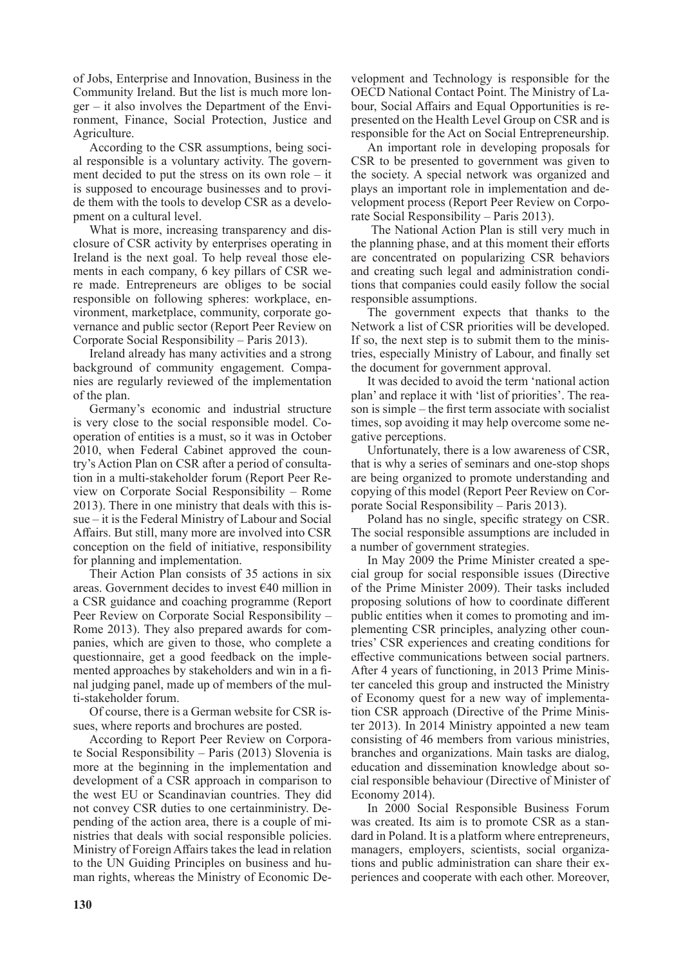of Jobs, Enterprise and Innovation, Business in the Community Ireland. But the list is much more longer – it also involves the Department of the Environment, Finance, Social Protection, Justice and Agriculture.

According to the CSR assumptions, being social responsible is a voluntary activity. The government decided to put the stress on its own role – it is supposed to encourage businesses and to provide them with the tools to develop CSR as a development on a cultural level.

What is more, increasing transparency and disclosure of CSR activity by enterprises operating in Ireland is the next goal. To help reveal those elements in each company, 6 key pillars of CSR were made. Entrepreneurs are obliges to be social responsible on following spheres: workplace, environment, marketplace, community, corporate governance and public sector (Report Peer Review on Corporate Social Responsibility – Paris 2013).

Ireland already has many activities and a strong background of community engagement. Companies are regularly reviewed of the implementation of the plan.

Germany's economic and industrial structure is very close to the social responsible model. Cooperation of entities is a must, so it was in October 2010, when Federal Cabinet approved the country's Action Plan on CSR after a period of consultation in a multi-stakeholder forum (Report Peer Review on Corporate Social Responsibility – Rome 2013). There in one ministry that deals with this issue – it is the Federal Ministry of Labour and Social Affairs. But still, many more are involved into CSR conception on the field of initiative, responsibility for planning and implementation.

Their Action Plan consists of 35 actions in six areas. Government decides to invest €40 million in a CSR guidance and coaching programme (Report Peer Review on Corporate Social Responsibility – Rome 2013). They also prepared awards for companies, which are given to those, who complete a questionnaire, get a good feedback on the implemented approaches by stakeholders and win in a final judging panel, made up of members of the multi-stakeholder forum.

Of course, there is a German website for CSR issues, where reports and brochures are posted.

According to Report Peer Review on Corporate Social Responsibility – Paris (2013) Slovenia is more at the beginning in the implementation and development of a CSR approach in comparison to the west EU or Scandinavian countries. They did not convey CSR duties to one certainministry. Depending of the action area, there is a couple of ministries that deals with social responsible policies. Ministry of Foreign Affairs takes the lead in relation to the UN Guiding Principles on business and human rights, whereas the Ministry of Economic Development and Technology is responsible for the OECD National Contact Point. The Ministry of Labour, Social Affairs and Equal Opportunities is represented on the Health Level Group on CSR and is responsible for the Act on Social Entrepreneurship.

An important role in developing proposals for CSR to be presented to government was given to the society. A special network was organized and plays an important role in implementation and development process (Report Peer Review on Corporate Social Responsibility – Paris 2013).

 The National Action Plan is still very much in the planning phase, and at this moment their efforts are concentrated on popularizing CSR behaviors and creating such legal and administration conditions that companies could easily follow the social responsible assumptions.

The government expects that thanks to the Network a list of CSR priorities will be developed. If so, the next step is to submit them to the ministries, especially Ministry of Labour, and finally set the document for government approval.

It was decided to avoid the term 'national action plan' and replace it with 'list of priorities'. The reason is simple – the first term associate with socialist times, sop avoiding it may help overcome some negative perceptions.

Unfortunately, there is a low awareness of CSR, that is why a series of seminars and one-stop shops are being organized to promote understanding and copying of this model (Report Peer Review on Corporate Social Responsibility – Paris 2013).

Poland has no single, specific strategy on CSR. The social responsible assumptions are included in a number of government strategies.

In May 2009 the Prime Minister created a special group for social responsible issues (Directive of the Prime Minister 2009). Their tasks included proposing solutions of how to coordinate different public entities when it comes to promoting and implementing CSR principles, analyzing other countries' CSR experiences and creating conditions for effective communications between social partners. After 4 years of functioning, in 2013 Prime Minister canceled this group and instructed the Ministry of Economy quest for a new way of implementation CSR approach (Directive of the Prime Minister 2013). In 2014 Ministry appointed a new team consisting of 46 members from various ministries, branches and organizations. Main tasks are dialog, education and dissemination knowledge about social responsible behaviour (Directive of Minister of Economy 2014).

In 2000 Social Responsible Business Forum was created. Its aim is to promote CSR as a standard in Poland. It is a platform where entrepreneurs, managers, employers, scientists, social organizations and public administration can share their experiences and cooperate with each other. Moreover,